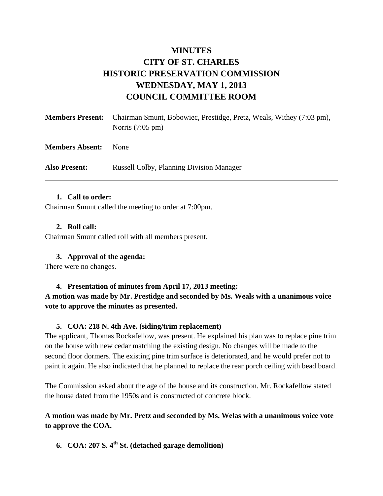# **MINUTES CITY OF ST. CHARLES HISTORIC PRESERVATION COMMISSION WEDNESDAY, MAY 1, 2013 COUNCIL COMMITTEE ROOM**

| <b>Members Present:</b> | Chairman Smunt, Bobowiec, Prestidge, Pretz, Weals, Withey (7:03 pm),<br>Norris $(7:05 \text{ pm})$ |
|-------------------------|----------------------------------------------------------------------------------------------------|
| <b>Members Absent:</b>  | <b>None</b>                                                                                        |
| <b>Also Present:</b>    | <b>Russell Colby, Planning Division Manager</b>                                                    |

#### **1. Call to order:**

Chairman Smunt called the meeting to order at 7:00pm.

#### **2. Roll call:**

Chairman Smunt called roll with all members present.

## **3. Approval of the agenda:**

There were no changes.

## **4. Presentation of minutes from April 17, 2013 meeting:**

**A motion was made by Mr. Prestidge and seconded by Ms. Weals with a unanimous voice vote to approve the minutes as presented.** 

## **5. COA: 218 N. 4th Ave. (siding/trim replacement)**

The applicant, Thomas Rockafellow, was present. He explained his plan was to replace pine trim on the house with new cedar matching the existing design. No changes will be made to the second floor dormers. The existing pine trim surface is deteriorated, and he would prefer not to paint it again. He also indicated that he planned to replace the rear porch ceiling with bead board.

The Commission asked about the age of the house and its construction. Mr. Rockafellow stated the house dated from the 1950s and is constructed of concrete block.

**A motion was made by Mr. Pretz and seconded by Ms. Welas with a unanimous voice vote to approve the COA.** 

**6. COA: 207 S. 4th St. (detached garage demolition)**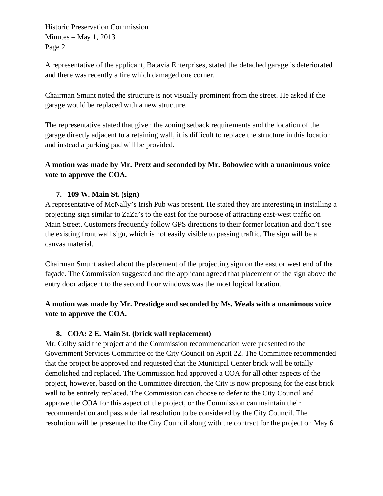Historic Preservation Commission Minutes – May 1, 2013 Page 2

A representative of the applicant, Batavia Enterprises, stated the detached garage is deteriorated and there was recently a fire which damaged one corner.

Chairman Smunt noted the structure is not visually prominent from the street. He asked if the garage would be replaced with a new structure.

The representative stated that given the zoning setback requirements and the location of the garage directly adjacent to a retaining wall, it is difficult to replace the structure in this location and instead a parking pad will be provided.

# **A motion was made by Mr. Pretz and seconded by Mr. Bobowiec with a unanimous voice vote to approve the COA.**

# **7. 109 W. Main St. (sign)**

A representative of McNally's Irish Pub was present. He stated they are interesting in installing a projecting sign similar to ZaZa's to the east for the purpose of attracting east-west traffic on Main Street. Customers frequently follow GPS directions to their former location and don't see the existing front wall sign, which is not easily visible to passing traffic. The sign will be a canvas material.

Chairman Smunt asked about the placement of the projecting sign on the east or west end of the façade. The Commission suggested and the applicant agreed that placement of the sign above the entry door adjacent to the second floor windows was the most logical location.

# **A motion was made by Mr. Prestidge and seconded by Ms. Weals with a unanimous voice vote to approve the COA.**

## **8. COA: 2 E. Main St. (brick wall replacement)**

Mr. Colby said the project and the Commission recommendation were presented to the Government Services Committee of the City Council on April 22. The Committee recommended that the project be approved and requested that the Municipal Center brick wall be totally demolished and replaced. The Commission had approved a COA for all other aspects of the project, however, based on the Committee direction, the City is now proposing for the east brick wall to be entirely replaced. The Commission can choose to defer to the City Council and approve the COA for this aspect of the project, or the Commission can maintain their recommendation and pass a denial resolution to be considered by the City Council. The resolution will be presented to the City Council along with the contract for the project on May 6.